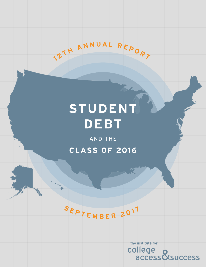# STUDENT **DEBT**

**1 <sup>2</sup> <sup>T</sup> <sup>H</sup> <sup>A</sup> <sup>N</sup> <sup>N</sup> <sup>U</sup> <sup>A</sup> <sup>L</sup> <sup>R</sup> <sup>E</sup> <sup>P</sup> <sup>O</sup> <sup>R</sup> <sup>T</sup>**

AND THE **CLASS OF 2016** 



the institute for college<br>access&success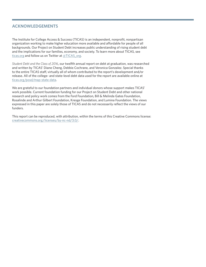# **acknowledgements**

The Institute for College Access & Success (TICAS) is an independent, nonprofit, nonpartisan organization working to make higher education more available and affordable for people of all backgrounds. Our Project on Student Debt increases public understanding of rising student debt and the implications for our families, economy, and society. To learn more about TICAS, see [ticas.org](https://ticas.org/) and follow us on Twitter at [@TICAS\\_org.](https://twitter.com/TICAS_org)

*Student Debt and the Class of 2016*, our twelfth annual report on debt at graduation, was researched and written by TICAS' Diane Cheng, Debbie Cochrane, and Veronica Gonzalez. Special thanks to the entire TICAS staff, virtually all of whom contributed to the report's development and/or release. All of the college- and state-level debt data used for the report are available online at [ticas.org/posd/map-state-data.](http://ticas.org/posd/map-state-data)

We are grateful to our foundation partners and individual donors whose support makes TICAS' work possible. Current foundation funding for our Project on Student Debt and other national research and policy work comes from the Ford Foundation, Bill & Melinda Gates Foundation, Rosalinde and Arthur Gilbert Foundation, Kresge Foundation, and Lumina Foundation. The views expressed in this paper are solely those of TICAS and do not necessarily reflect the views of our funders.

This report can be reproduced, with attribution, within the terms of this Creative Commons license: [creativecommons.org/licenses/by-nc-nd/3.0/.](http://creativecommons.org/licenses/by-nc-nd/3.0/)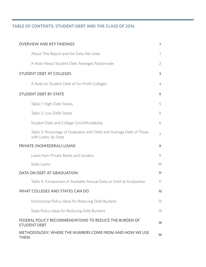# **Table of Contents: Student debt and the class of 2016**

| <b>OVERVIEW AND KEY FINDINGS</b><br>1                                                        |                |  |  |  |  |  |
|----------------------------------------------------------------------------------------------|----------------|--|--|--|--|--|
| About This Report and the Data We Used                                                       | 1              |  |  |  |  |  |
| A Note About Student Debt Averages Nationwide                                                | $\overline{2}$ |  |  |  |  |  |
| <b>STUDENT DEBT AT COLLEGES</b>                                                              | 3              |  |  |  |  |  |
| A Note on Student Debt at For-Profit Colleges                                                | $\overline{4}$ |  |  |  |  |  |
| <b>STUDENT DEBT BY STATE</b>                                                                 | 5              |  |  |  |  |  |
| Table 1: High-Debt States                                                                    | 5              |  |  |  |  |  |
| Table 2: Low-Debt States                                                                     | 5              |  |  |  |  |  |
| Student Debt and College (Un) Affordability                                                  | 6              |  |  |  |  |  |
| Table 3: Percentage of Graduates with Debt and Average Debt of Those<br>with Loans, by State | $\overline{7}$ |  |  |  |  |  |
| PRIVATE (NONFEDERAL) LOANS                                                                   | 9              |  |  |  |  |  |
| Loans from Private Banks and Lenders                                                         | 9              |  |  |  |  |  |
| State Loans                                                                                  | 10             |  |  |  |  |  |
| DATA ON DEBT AT GRADUATION                                                                   | 11             |  |  |  |  |  |
| Table 4: Comparison of Available Annual Data on Debt at Graduation                           | 11             |  |  |  |  |  |
| WHAT COLLEGES AND STATES CAN DO                                                              | 12             |  |  |  |  |  |
| Institutional Policy Ideas for Reducing Debt Burdens                                         | 12             |  |  |  |  |  |
| State Policy Ideas for Reducing Debt Burdens                                                 | 13             |  |  |  |  |  |
| FEDERAL POLICY RECOMMENDATIONS TO REDUCE THE BURDEN OF<br><b>STUDENT DEBT</b>                | 14             |  |  |  |  |  |
| METHODOLOGY: WHERE THE NUMBERS COME FROM AND HOW WE USE<br><b>THEM</b>                       | 19             |  |  |  |  |  |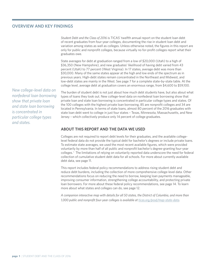## **overview and Key Findings**

*Student Debt and the Class of 2016* is TICAS' twelfth annual report on the student loan debt of recent graduates from four-year colleges, documenting the rise in student loan debt and variation among states as well as colleges. Unless otherwise noted, the figures in this report are only for public and nonprofit colleges, because virtually no for-profit colleges report what their graduates owe.

State averages for debt at graduation ranged from a low of \$20,000 (Utah) to a high of \$36,350 (New Hampshire), and new graduates' likelihood of having debt varied from 43 percent (Utah) to 77 percent (West Virginia). In 17 states, average debt was more than \$30,000. Many of the same states appear at the high and low ends of the spectrum as in previous years. High-debt states remain concentrated in the Northeast and Midwest, and low-debt states are mainly in the West. See page 7 for a complete state-by-state table. At the college level, average debt at graduation covers an enormous range, from \$4,600 to \$59,100.

The burden of student debt is not just about how much debt students have, but also about what types of loans they took out. New college-level data on nonfederal loan borrowing show that private loan and state loan borrowing is concentrated in particular college types and states. Of the 100 colleges with the highest private loan borrowing, 85 are nonprofit colleges and 34 are located in Pennsylvania. In terms of state loans, almost 80 percent of the 2016 graduates with state loan debt went to college in just four states – Texas, Minnesota, Massachusetts, and New Jersey – which collectively produce only 14 percent of college graduates.

#### **About this Report and the Data We Used**

Colleges are not required to report debt levels for their graduates, and the available collegelevel federal data do not provide the typical debt for bachelor's degrees or include private loans. To estimate state averages, we used the most recent available figures, which were provided voluntarily by more than half of all public and nonprofit bachelor's degree-granting four-year colleges. 1 The limitations of relying on voluntarily reported data underscore the need for federal collection of cumulative student debt data for all schools. For more about currently available debt data, see page 11.

This report includes federal policy recommendations to address rising student debt and reduce debt burdens, including the collection of more comprehensive college-level data. Other recommendations focus on reducing the need to borrow, keeping loan payments manageable, improving consumer information, strengthening college accountability, and protecting private loan borrowers. For more about these federal policy recommendations, see page 14. To learn more about what states and colleges can do, see page 12.

*A companion interactive map with details for all 50 states, the District of Columbia, and more than 1,000 public and nonprofit four-year colleges is available at [ticas.org/posd/map-state-data.](https://ticas.org/posd/map-state-data)*

*New college-level data on nonfederal loan borrowing show that private loan and state loan borrowing is concentrated in particular college types and states.*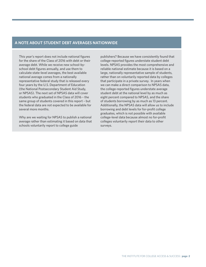#### **A Note About Student Debt Averages Nationwide**

This year's report does not include national figures for the share of the Class of 2016 with debt or their average debt. While we receive new school-byschool debt figures annually, and use them to calculate state-level averages, the best available national average comes from a nationally representative federal study that is released every four years by the U.S. Department of Education (the National Postsecondary Student Aid Study, or NPSAS). The next set of NPSAS data will cover students who graduated in the Class of 2016 – the same group of students covered in this report – but the federal data are not expected to be available for several more months.

Why are we waiting for NPSAS to publish a national average rather than estimating it based on data that schools voluntarily report to college guide

publishers? Because we have consistently found that college-reported figures understate student debt levels. NPSAS provides the most comprehensive and reliable national estimate because it is based on a large, nationally representative sample of students, rather than on voluntarily reported data by colleges that participate in a private survey. In years when we can make a direct comparison to NPSAS data, the college-reported figures understate average student debt at the national level by as much as eight percent compared to NPSAS, and the share of students borrowing by as much as 13 percent. Additionally, the NPSAS data will allow us to include borrowing and debt levels for for-profit college graduates, which is not possible with available college-level data because almost no for-profit colleges voluntarily report their data to other surveys.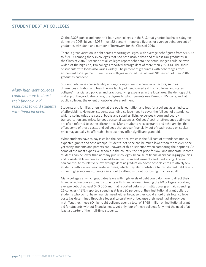# **student debt at colleges**

Of the 2,025 public and nonprofit four-year colleges in the U.S. that granted bachelor's degrees during the 2015-16 year, 1,055 – just 52 percent – reported figures for average debt, percent of graduates with debt, and number of borrowers for the Class of 2016.

There is great variation in debt across reporting colleges, with average debt figures from \$4,600 to \$59,100 among the 936 colleges that had both usable data and at least 100 graduates in the Class of 2016.<sup>2</sup> Because not all colleges report debt data, the actual ranges could be even wider. At the high end, 194 colleges reported average debt of more than \$35,000. The share of students with loans also varies widely. The percent of graduates with debt ranges from six percent to 98 percent. Twenty-six colleges reported that at least 90 percent of their 2016 graduates had debt.

Student debt varies considerably among colleges due to a number of factors, such as differences in tuition and fees, the availability of need-based aid from colleges and states, colleges' financial aid policies and practices, living expenses in the local area, the demographic makeup of the graduating class, the degree to which parents use Parent PLUS loans, and, at public colleges, the extent of out-of-state enrollment.

Students and families often look at the published tuition and fees for a college as an indicator of affordability. However, students attending college need to cover the full cost of attendance, which also includes the cost of books and supplies, living expenses (room and board), transportation, and miscellaneous personal expenses. Colleges' cost-of-attendance estimates are often referred to as the sticker price. Many students receive grants and scholarships that offset some of these costs, and colleges that appear financially out of reach based on sticker price may actually be affordable because they offer significant grant aid.

What students have to pay is called the net price, which is the full cost of attendance minus expected grants and scholarships. Students' net price can be much lower than the sticker price, yet many students and parents are unaware of this distinction when comparing their options. At some of the most expensive schools in the country, the net price for low- and moderate-income students can be lower than at many public colleges, because of financial aid packaging policies and considerable resources for need-based aid from endowments and fundraising. This in turn can contribute to relatively low average debt at graduation. Some schools enroll relatively few students with low and moderate incomes, which may also contribute to low student debt levels if their higher income students can afford to attend without borrowing much or at all.

Many colleges at which graduates leave with high levels of debt could do more to direct their financial aid resources toward students with financial need. Among the 60 colleges reporting average debt of at least \$40,000 and that reported details on institutional grant aid spending, 26 colleges (43%) reported spending at least 20 percent of their institutional grant dollars on students who do not have financial need, either because they could afford their total college costs (as determined through a federal calculation) or because their need had already been met. Together, these 60 high-debt colleges spent a total of \$465 million on institutional grant aid for students without financial need, yet only four of these colleges fully met the need of at least a quarter of their full-time students.

*Many high-debt colleges could do more to direct their financial aid resources toward students with financial need.*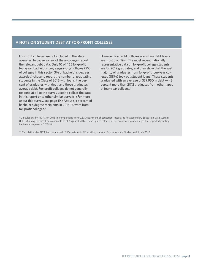## **A Note on Student debt at for-profit colleges**

For-profit colleges are not included in the state averages, because so few of these colleges report the relevant debt data. Only 10 of 465 for-profit, four-year, bachelor's degree-granting colleges (2% of colleges in this sector, 3% of bachelor's degrees awarded) chose to report the number of graduating students in the Class of 2016 with loans, the percent of graduates with debt, and those graduates' average debt. For-profit colleges do not generally respond at all to the survey used to collect the data in this report or to other similar surveys. (For more about this survey, see page 19.) About six percent of bachelor's degree recipients in 2015-16 were from for-profit colleges.\*

However, for-profit colleges are where debt levels are most troubling. The most recent nationally representative data on for-profit college students are for 2012 graduates, and they show that the vast majority of graduates from for-profit four-year colleges (88%) took out student loans. These students graduated with an average of \$39,950 in debt — 43 percent more than 2012 graduates from other types of four-year colleges.\*\*

\* Calculations by TICAS on 2015-16 completions from U.S. Department of Education, Integrated Postsecondary Education Data System (IPEDS), using the latest data available as of August 3, 2017. These figures refer to all for-profit four-year colleges that reported granting bachelor's degrees in 2015-16.

\*\* Calculations by TICAS on data from U.S. Department of Education, National Postsecondary Student Aid Study 2012.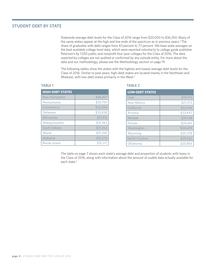#### **student debt by state**

Statewide average debt levels for the Class of 2016 range from \$20,000 to \$36,350. Many of the same states appear at the high and low ends of the spectrum as in previous years.<sup>3</sup> The share of graduates with debt ranges from 43 percent to 77 percent. We base state averages on the best available college-level data, which were reported voluntarily to college guide publisher Peterson's by 1,055 public and nonprofit four-year colleges for the Class of 2016. The data reported by colleges are not audited or confirmed by any outside entity. For more about the data and our methodology, please see the Methodology section on page 19.

The following tables show the states with the highest and lowest average debt levels for the Class of 2016. Similar to past years, high-debt states are located mainly in the Northeast and Midwest, with low-debt states primarily in the West.4

#### **table 1**

| <b>HIGH-DEBT STATES</b> |          |  |  |  |  |  |
|-------------------------|----------|--|--|--|--|--|
| <b>New Hampshire</b>    | \$36,367 |  |  |  |  |  |
| Pennsylvania            | \$35,759 |  |  |  |  |  |
| Connecticut             | \$35,494 |  |  |  |  |  |
| Delaware                | \$33,838 |  |  |  |  |  |
| Minnesota               | \$31,915 |  |  |  |  |  |
| Massachusetts           | \$31,563 |  |  |  |  |  |
| South Dakota            | \$31,362 |  |  |  |  |  |
| Maine                   | \$31,295 |  |  |  |  |  |
| Alabama                 | \$31,275 |  |  |  |  |  |
| Rhode Island            | \$31,217 |  |  |  |  |  |

#### **table 2**

| <b>LOW-DEBT STATES</b> |          |
|------------------------|----------|
| Utah                   | \$19,975 |
| New Mexico             | \$21,373 |
| California             | \$22,744 |
| Arizona                | \$23,447 |
| Nevada                 | \$24,128 |
| Florida                | \$24,461 |
| Washington             | \$24,609 |
| Wyoming                | \$25,378 |
| North Carolina         | \$25,562 |
| Oklahoma               | \$25,856 |

The table on page 7 shows each state's average debt and proportion of students with loans in the Class of 2016, along with information about the amount of usable data actually available for each state.<sup>5</sup>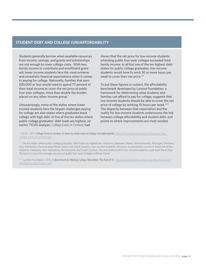#### **Student Debt and College (Un)Affordability**

Students generally borrow when available resources from income, savings, and grants and scholarships are not enough to cover college costs. With less family income to contribute and insufficient grant aid, lower income students face the most extreme and unrealistic financial expectations when it comes to paying for college. Nationally, families that earn \$30,000 or less would need to spend 77 percent of their total income to cover the net price at public four-year colleges, more than double the burden placed on any other income group.\*

Unsurprisingly, many of the states where lower income students face the largest challenges paying for college are also states where graduates leave college with high debt. In five of the ten states where public college graduates' debt loads are highest, an earlier TICAS analysis, *College Costs in Context*, had

shown that the net price for low-income students attending public four-year colleges exceeded total family income. In all but one of the ten highest debt states for public college graduates, low-income students would have to work 30 or more hours per week to cover their net price.\*\*

To put these figures in context, the affordability benchmark developed by Lumina Foundation, a framework for determining what students and families can afford to pay for college, suggests that low-income students should be able to cover the net price of college by working 10 hours per week.\*\*\* The disparity between that expectation and the reality for low-income students underscores the link between college affordability and student debt, and points to where improvements are most needed.

\* TICAS. 2017. *College Costs in Context: A State-by-State Look at College (Un)affordability*. [https://ticas.org/sites/default/files/pub\\_files/](https://ticas.org/sites/default/files/pub_files/college_costs_in_context.pdf) [college\\_costs\\_in\\_context.pdf](https://ticas.org/sites/default/files/pub_files/college_costs_in_context.pdf).

\*\* The ten states where public college graduates' debt loads are highest are: Alabama, Delaware, Maine, Massachusetts, Michigan, Montana, New Hampshire, Pennsylvania, Rhode Island, and South Carolina. Low-income students' net prices exceed family income in these five states: Alabama, Delaware, New Hampshire, Pennsylvania, and South Carolina. The one state in which low-income students could work fewer than 30 hours to cover the average net price of public four-year colleges is Rhode Island.

\*\*\* Lumina Foundation. 2015. *A Benchmark for Making College Affordable: The Rule of 10*. [http://www.luminafoundation.org/files/resources/](http://www.luminafoundation.org/files/resources/affordability-benchmark-1.pdf) [affordability-benchmark-1.pdf.](http://www.luminafoundation.org/files/resources/affordability-benchmark-1.pdf)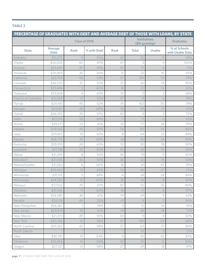## **Contract Contract Contract table 3**

| PERCENTAGE OF GRADUATES WITH DEBT AND AVERAGE DEBT OF THOSE WITH LOANS, BY STATE |                                                       |                 |             |                  |                |                |                                  |
|----------------------------------------------------------------------------------|-------------------------------------------------------|-----------------|-------------|------------------|----------------|----------------|----------------------------------|
|                                                                                  | <b>Institutions</b><br>Class of 2016<br>(BA-granting) |                 |             | <b>Graduates</b> |                |                |                                  |
| <b>State</b>                                                                     | <b>Average</b><br><b>Debt</b>                         | <b>Rank</b>     | % with Debt | <b>Rank</b>      | <b>Total</b>   | <b>Usable</b>  | % at Schools<br>with Usable Data |
| Alabama                                                                          | \$31,275                                              | 9               | 50%         | 43               | 32             | 13             | 59%                              |
| Alaska                                                                           | \$26,008                                              | 40              | 49%         | 47               | 5              | 4              | 100%                             |
| Arizona                                                                          | \$23,447                                              | 47              | 49%         | 47               | 17             | 6              | 71%                              |
| <b>Arkansas</b>                                                                  | \$26,859                                              | 35              | 56%         | 31               | 23             | 10             | 55%                              |
| California                                                                       | \$22,744                                              | 48              | 53%         | 37               | 134            | 70             | 79%                              |
| Colorado                                                                         | \$26,520                                              | 37              | 53%         | 37               | 26             | 14             | 85%                              |
| Connecticut                                                                      | \$35,494                                              | 3               | 60%         | 18               | 22             | 14             | 65%                              |
| Delaware                                                                         | \$33,838                                              | $\overline{4}$  | 63%         | 10               | 5              | $\overline{2}$ | 68%                              |
| <b>District of Columbia</b>                                                      | \$31,054                                              | 12              | 53%         | 37               | 8              | 6              | 78%                              |
| Florida                                                                          | \$24,461                                              | 45              | 52%         | 41               | 102            | 30             | 78%                              |
| Georgia                                                                          | \$27,657                                              | 28              | 60%         | 18               | 59             | 31             | 72%                              |
| Hawaii                                                                           | \$26,092                                              | 39              | 50%         | 43               | 9              | 3              | 72%                              |
| Idaho                                                                            | \$27,130                                              | 33              | 66%         | $\overline{7}$   | 11             | 6              | 63%                              |
| <b>Illinois</b>                                                                  | \$29,271                                              | 23              | 61%         | 14               | 77             | 38             | 79%                              |
| Indiana                                                                          | \$29,562                                              | 20              | 59%         | 26               | 50             | 34             | 86%                              |
| lowa                                                                             | \$29,801                                              | 19              | 65%         | 8                | 34             | 23             | 89%                              |
| Kansas                                                                           | \$28,776                                              | 25              | 60%         | 18               | 30             | 14             | 90%                              |
| Kentucky                                                                         | \$28,910                                              | 24              | 63%         | 10               | 30             | 18             | 90%                              |
| Louisiana                                                                        | \$27,138                                              | 32              | 50%         | 43               | 28             | 10             | 59%                              |
| Maine                                                                            | \$31,295                                              | 8               | 55%         | 34               | 19             | 9              | 50%                              |
| Maryland                                                                         | \$27,455                                              | 30              | 54%         | 36               | 32             | 15             | 63%                              |
| Massachusetts                                                                    | \$31,563                                              | 6               | 60%         | 18               | 81             | 45             | 76%                              |
| Michigan                                                                         | \$30,852                                              | 13              | 63%         | 10               | 49             | 27             | 72%                              |
| Minnesota                                                                        | \$31,915                                              | 5               | 68%         | $\overline{4}$   | 38             | 24             | 84%                              |
| Mississippi                                                                      | \$29,384                                              | $\overline{21}$ | 60%         | 18               | 16             | 9              | 84%                              |
| Missouri                                                                         | \$27,532                                              | 29              | 57%         | 30               | 55             | 26             | 80%                              |
| Montana                                                                          | \$31,065                                              | 11              | 60%         | 18               | 11             | 8              | 97%                              |
| Nebraska                                                                         | \$26,585                                              | 36              | 61%         | 14               | 24             | $\mathcal{G}$  | 63%                              |
| Nevada                                                                           | \$24,128                                              | 46              | 52%         | 41               | $\overline{9}$ | $\overline{2}$ | 89%                              |
| New Hampshire                                                                    | \$36,367                                              | 1               | 74%         | 3                | 15             | 10             | 91%                              |
| New Jersey                                                                       | \$29,878                                              | 18              | 61%         | 14               | 38             | 18             | 71%                              |
| <b>New Mexico</b>                                                                | \$21,373                                              | 49              | 55%         | 34               | 11             | 4              | 42%                              |
| New York                                                                         | \$30,346                                              | 15              | 58%         | 27               | 184            | 83             | 68%                              |
| North Carolina                                                                   | \$25,562                                              | 42              | 58%         | 27               | 63             | 37             | 86%                              |
| North Dakota                                                                     |                                                       | $\star$         |             |                  | 14             | 5              | 21%                              |
| Ohio                                                                             | \$30,351                                              | 14              | 64%         | $\mathcal{G}$    | 92             | 42             | 87%                              |
| Oklahoma                                                                         | \$25,856                                              | 41              | 50%         | 43               | 29             | 15             | 84%                              |
| Oregon                                                                           | \$27,321                                              | 31              | 58%         | 27               | 29             | 18             | 91%                              |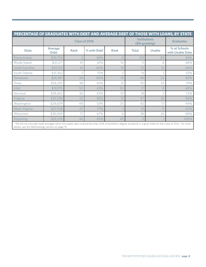| PERCENTAGE OF GRADUATES WITH DEBT AND AVERAGE DEBT OF THOSE WITH LOANS, BY STATE                                                                                                                                                          |                               |             |             |                                      |              |                  |                                  |
|-------------------------------------------------------------------------------------------------------------------------------------------------------------------------------------------------------------------------------------------|-------------------------------|-------------|-------------|--------------------------------------|--------------|------------------|----------------------------------|
|                                                                                                                                                                                                                                           | Class of 2016                 |             |             | <b>Institutions</b><br>(BA-granting) |              | <b>Graduates</b> |                                  |
| <b>State</b>                                                                                                                                                                                                                              | <b>Average</b><br><b>Debt</b> | <b>Rank</b> | % with Debt | <b>Rank</b>                          | <b>Total</b> | <b>Usable</b>    | % at Schools<br>with Usable Data |
| Pennsylvania                                                                                                                                                                                                                              | \$35,759                      |             | 68%         | 4                                    | 129          | 89               | 83%                              |
| Rhode Island                                                                                                                                                                                                                              | \$31,217                      | 10          | 61%         | 14                                   | 11           | 6                | 68%                              |
| South Carolina                                                                                                                                                                                                                            | \$30,123                      | 16          | 60%         | 18                                   | 33           | 16               | 66%                              |
| South Dakota                                                                                                                                                                                                                              | \$31,362                      |             | 75%         |                                      | 13           | 7                | 32%                              |
| Tennessee                                                                                                                                                                                                                                 | \$26,981                      | 34          | 60%         | 18                                   | 48           | 26               | 85%                              |
| <b>Texas</b>                                                                                                                                                                                                                              | \$26,292                      | 38          | 56%         | 31                                   | 95           | 53               | 91%                              |
| Utah                                                                                                                                                                                                                                      | \$19,975                      | 50          | 43%         | 50                                   | 17           | 8                | 68%                              |
| Vermont                                                                                                                                                                                                                                   | \$28,662                      | 26          | 63%         | 10                                   | 18           | 7                | 72%                              |
| Virginia                                                                                                                                                                                                                                  | \$29,296                      | 22          | 56%         | 31                                   | 47           | 36               | 96%                              |
| Washington                                                                                                                                                                                                                                | \$24,609                      | 44          | 53%         | 37                                   | 42           | 17               | 94%                              |
| West Virginia                                                                                                                                                                                                                             | \$27,708                      | 27          | 77%         |                                      | 21           | 11               | 42%                              |
| Wisconsin                                                                                                                                                                                                                                 | \$30,059                      | 17          | 67%         | 6                                    | 38           | 26               | 88%                              |
| Wyoming<br>where the contract and the contract of the contract of the contract of the contract of the contract of the contract of the contract of the contract of the contract of the contract of the contract of the contract of the con | \$25,378                      | 43          | 45%         | 49                                   |              |                  | 100%                             |

\* We did not calculate state averages when the usable data covered less than 30% of bachelor's degree recipients in a given state for the Class of 2016. For more details, see the Methodology section on page 19.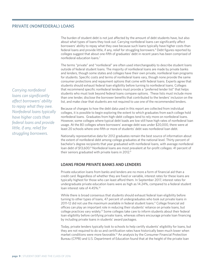#### **private (NONFEDERAL) LOANS**

The burden of student debt is not just affected by the amount of debt students have, but also about what types of loans they took out. Carrying nonfederal loans can significantly affect borrowers' ability to repay what they owe because such loans typically have higher costs than federal loans and provide little, if any, relief for struggling borrowers.<sup>6</sup> Debt figures reported by colleges suggest that about one-fifth of graduates' debt in recent years has been comprised of nonfederal education loans.7

The terms "private" and "nonfederal" are often used interchangeably to describe student loans outside of federal student loans. The majority of nonfederal loans are made by private banks and lenders, though some states and colleges have their own private, nonfederal loan programs for students. Specific costs and terms of nonfederal loans vary, though none provide the same consumer protections and repayment options that come with federal loans. Experts agree that students should exhaust federal loan eligibility before turning to nonfederal loans. Colleges that recommend specific nonfederal lenders must provide a "preferred lender list" that helps students who must look beyond federal loans compare options. These lists must include more than one lender, disclose the borrower benefits that contributed to the lenders' inclusion on the list, and make clear that students are not required to use one of the recommended lenders.

Because of changes to how the debt data used in this report are collected from individual colleges, it is possible to begin exploring the extent to which graduates from each college hold nonfederal loans. Graduates from high-debt colleges tend to rely more on nonfederal loans. However, some colleges where typical debt loads are low still have high rates of nonfederal loan usage. At the 80 colleges where borrowers' average debt was under \$20,000, there were at least 20 schools where one-fifth or more of students' debt was nonfederal loan debt.

Nationally representative data for 2012 graduates remain the best source of information about the extent of nonfederal debt among college graduates at the national level. Thirty percent of bachelor's degree recipients that year graduated with nonfederal loans, with average nonfederal loan debt of \$13,600.8 Nonfederal loans are most prevalent at for-profit colleges: 41 percent of their seniors graduated with private loans in 2012.<sup>9</sup>

#### **Loans from Private Banks and Lenders**

Private education loans from banks and lenders are no more a form of financial aid than a credit card. Regardless of whether they are fixed or variable, interest rates for these loans are typically highest for those who can least afford them. In September 2017, interest rates for undergraduate private education loans were as high as 14.24%, compared to a federal student loan interest rate of 4.45%.<sup>10</sup>

While there is broad consensus that students should exhaust federal loan eligibility before turning to other types of loans, 47 percent of undergraduates who took out private loans in 2011-12 did not use the maximum available in federal student loans.<sup>11</sup> College financial aid offices can play an important role in reducing their students' reliance on private loans, but college practices vary widely.<sup>12</sup> Some colleges take care to inform students about their federal loan eligibility before certifying private loans, whereas others encourage private loan financing by including private loans in students' award packages.

Today, private lenders typically look to schools to help certify students' eligibility for loans, but they are not required to do so and certification rates have historically been much lower when market conditions were more favorable.13 An analysis by the Consumer Financial Protection Bureau (CFPB) and U.S. Department of Education found that at the height of the private loan

*Carrying nonfederal loans can significantly affect borrowers' ability to repay what they owe. Nonfederal loans typically have higher costs than federal loans and provide little, if any, relief for struggling borrowers.*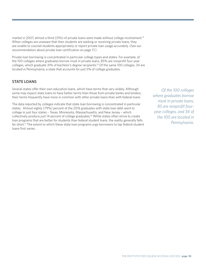market in 2007, almost a third (31%) of private loans were made without college involvement.14 When colleges are unaware that their students are seeking or receiving private loans, they are unable to counsel students appropriately or report private loan usage accurately. (See our recommendation about private loan certification on page 17.)

Private loan borrowing is concentrated in particular college types and states. For example, of the 100 colleges where graduates borrow most in private loans, 85% are nonprofit four-year colleges, which graduate 31% of bachelor's degree recipients.15 Of the same 100 colleges, 34 are located in Pennsylvania, a state that accounts for just 5% of college graduates.

## **STATE LOANS**

Several states offer their own education loans, which have terms that vary widely. Although some may expect state loans to have better terms than those from private banks and lenders, their terms frequently have more in common with other private loans than with federal loans.

The data reported by colleges indicate that state loan borrowing is concentrated in particular states. Almost eighty (79%) percent of the 2016 graduates with state loan debt went to college in just four states – Texas, Minnesota, Massachusetts, and New Jersey – which collectively produce just 14 percent of college graduates.16 While states often strive to create loan programs that are better for students than federal student loans, the reality generally falls far short.<sup>17</sup> The extent to which these state loan programs urge borrowers to tap federal student loans first varies.

*Of the 100 colleges where graduates borrow most in private loans, 85 are nonprofit fouryear colleges, and 34 of the 100 are located in Pennsylvania.*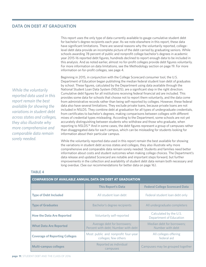# **Data on Debt at Graduation**

This report uses the only type of data currently available to gauge cumulative student debt for bachelor's degree recipients each year. As we note elsewhere in this report, these data have significant limitations. There are several reasons why the voluntarily reported, collegelevel debt data provide an incomplete picture of the debt carried by graduating seniors. While schools awarding 78 percent of public and nonprofit college bachelor's degrees in academic year 2015-16 reported debt figures, hundreds declined to report enough data to be included in this analysis. And as noted earlier, almost no for-profit colleges provide debt figures voluntarily. For more information on data limitations, see the Methodology section on page 19. For more information on for-profit colleges, see page 4.

Beginning in 2015, in conjunction with the College Scorecard consumer tool, the U.S. Department of Education began publishing the median federal student loan debt of graduates by school. These figures, calculated by the Department using data available through the National Student Loan Data System (NSLDS), are a significant step in the right direction. Cumulative debt figures for all institutions receiving federal financial aid are included. This provides some data for schools that choose not to report them voluntarily, and the data come from administrative records rather than being self-reported by colleges. However, these federal data also have several limitations. They exclude private loans, because private loans are not included in NSLDS. They combine debt at graduation for all types of undergraduate credentials, from certificates to bachelor's degrees, making comparisons between colleges with different mixes of credential types misleading. According to the Department, some schools are not yet accurately distinguishing between students who withdraw and those who graduate, when reporting to NSLDS.18 And in some cases, the debt figures represent a group of campuses rather than disaggregated data for each campus, which can be misleading for students looking for information about their particular campus.

While the voluntarily reported data used in this report remain the best available for showing the variations in student debt across states and colleges, they also illustrate why more comprehensive and comparable data remain sorely needed. Students and families need better information about costs and student outcomes when making college choices. The Department's data release and updated Scorecard are notable and important steps forward, but further improvements in the collection and availability of student debt data remain both necessary and long overdue. (See our recommendations for better data on page 16).

| <b>COMPARISON OF AVAILABLE ANNUAL DATA ON DEBT AT GRADUATION</b> |                                                                    |                                                   |  |  |  |  |  |
|------------------------------------------------------------------|--------------------------------------------------------------------|---------------------------------------------------|--|--|--|--|--|
|                                                                  | <b>This Report's Data</b>                                          | <b>Federal College Scorecard Data</b>             |  |  |  |  |  |
| <b>Type of Debt Included</b>                                     | All student loan debt                                              | Federal student loan debt only                    |  |  |  |  |  |
| <b>Type of Graduates</b>                                         | Bachelor's degree recipients                                       | All undergraduate completers                      |  |  |  |  |  |
| <b>How the Data Are Reported</b>                                 | Voluntarily self-reported                                          | Calculated by the U.S.<br>Department of Education |  |  |  |  |  |
| <b>What Data Are Reported</b>                                    | Average debt for borrowers;<br>Percent with debt; Number with debt | Median debt for borrowers;<br>Number with debt    |  |  |  |  |  |
| <b>Coverage of Reporting Colleges</b>                            | Most public and nonprofit four-year<br>colleges; few others        | All colleges offering<br>federal aid              |  |  |  |  |  |
| <b>Multi-campus colleges</b>                                     | Reported as individual<br>campuses                                 | Campuses may be grouped together                  |  |  |  |  |  |

#### **table 4**

*While the voluntarily reported data used in this report remain the best available for showing the variations in student debt across states and colleges, they also illustrate why more comprehensive and comparable data remain* 

*sorely needed.*

**page 11**| STUDENT DEBT AND THE CLASS OF 2016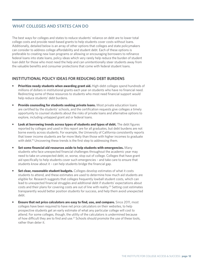# **What Colleges and States Can Do**

The best ways for colleges and states to reduce students' reliance on debt are to lower total college costs and provide need-based grants to help students cover costs without loans. Additionally, detailed below is an array of other options that colleges and state policymakers can consider to address college affordability and student debt. Each of these options is preferable to creating new loan programs or allowing or encouraging borrowers to refinance federal loans into state loans, policy ideas which very rarely help reduce the burden of student loan debt for those who most need the help and can unintentionally steer students away from the valuable benefits and consumer protections that come with federal student loans.

#### **Institutional Policy Ideas for Reducing Debt Burdens**

- **Prioritize needy students when awarding grant aid.** High-debt colleges spend hundreds of millions of dollars in institutional grants each year on students who have no financial need. Redirecting some of these resources to students who most need financial support would help reduce students' debt burdens.
- **Provide counseling for students seeking private loans.** Most private education loans are certified by the students' schools, and the certification requests give colleges a timely opportunity to counsel students about the risks of private loans and alternative options to explore, including untapped grant aid or federal loans.
- **Look at borrowing trends across types of students and types of debt.** The debt figures reported by colleges and used in this report are for all graduates, but debt burdens are not borne evenly across students. For example, the University of California consistently reports that lower income students are far more likely than those with higher incomes to graduate with debt.<sup>19</sup> Uncovering these trends is the first step to addressing them.
- **Set some financial aid resources aside to help students with emergencies.** Many students who face unexpected financial challenges throughout the academic year may need to take on unexpected debt, or, worse, stop out of college. Colleges that have grant aid specifically to help students cover such emergencies – and take care to ensure that students know about it – can help students bridge the financial gap.
- **Set clear, reasonable student budgets.** Colleges develop estimates of what it costs students to attend, and these estimates are used to determine how much aid students are eligible for. Research suggests that colleges frequently lowball student costs, which can lead to unexpected financial struggles and additional debt if students' expectations about costs and their plans for covering costs are out of line with reality.<sup>20</sup> Setting cost estimates transparently would better position students for success, and help them avoid unexpected debt.
- **Ensure that net price calculators are easy to find, use, and compare.** Since 2011, most colleges have been required to have net price calculators on their websites, to help prospective students get an early estimate of what any particular college will cost to attend. For some colleges, though, the utility of the calculators is undermined because of how difficult they are to find and use.<sup>21</sup> Schools should promote the use of these tools, rather than deter it.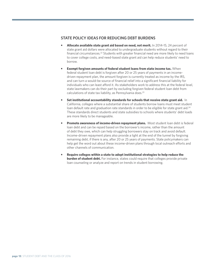## **State Policy Ideas for Reducing Debt Burdens**

- **Allocate available state grant aid based on need, not merit.** In 2014-15, 24 percent of state grant aid dollars were allocated to undergraduate students without regard to their financial circumstances.22 Students with greater financial need are more likely to need loans to cover college costs, and need-based state grant aid can help reduce students' need to borrow.
- **Exempt forgiven amounts of federal student loans from state income tax.** When federal student loan debt is forgiven after 20 or 25 years of payments in an incomedriven repayment plan, the amount forgiven is currently treated as income by the IRS, and can turn a would-be source of financial relief into a significant financial liability for individuals who can least afford it. As stakeholders work to address this at the federal level, state lawmakers can do their part by excluding forgiven federal student loan debt from calculations of state tax liability, as Pennsylvania does.<sup>23</sup>
- **•** Set institutional accountability standards for schools that receive state grant aid. In California, colleges where a substantial share of students borrow loans must meet student loan default rate and graduation rate standards in order to be eligible for state grant aid.<sup>24</sup> These standards direct students and state subsidies to schools where students' debt loads are more likely to be manageable.
- **Promote awareness of income-driven repayment plans.** Most student loan debt is federal loan debt and can be repaid based on the borrower's income, rather than the amount of debt they owe, which can help struggling borrowers stay on track and avoid default. Income-driven repayment plans also provide a light at the end of the tunnel by forgiving remaining debt, if there is any, after 20 or 25 years of payments. State policymakers can help get the word out about these income-driven plans through local outreach efforts and other channels of communication.
- **• Require colleges within a state to adopt institutional strategies to help reduce the burden of student debt.** For instance, states could require that colleges provide private loan counseling or analyze and report on trends in student borrowing.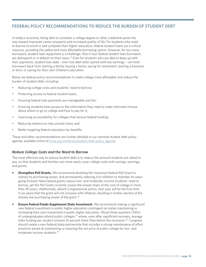# **Federal Policy Recommendations to Reduce the Burden of Student Debt**

In today's economy, being able to complete a college degree or other credential paves the way toward improved career prospects and increased quality of life. For students who need to borrow to enroll in and complete their higher education, federal student loans are a critical resource, providing the safest and most affordable borrowing option. However, for too many borrowers, student loan repayment is a challenge: One in four federal student loan borrowers are delinquent or in default on their loans.<sup>25</sup> Even for students who are able to keep up with their payments, student loan debt – even low debt when paired with low earnings – can hold borrowers back from starting a family, buying a home, saving for retirement, starting a business or farm, or saving for their own children's education.

Below are federal policy recommendations to make college more affordable and reduce the burden of student debt, including:

- • Reducing college costs and students' need to borrow;
- Protecting access to federal student loans;
- Ensuring federal loan payments are manageable and fair;
- Ensuring students have access to the information they need to make informed choices about where to go to college and how to pay for it;
- Improving accountability for colleges that receive federal funding;
- Reducing reliance on risky private loans; and
- Better targeting federal education tax benefits.

These and other recommendations are further detailed in our national student debt policy agenda, available online at [ticas.org/initiative/student-debt-policy-agenda](http://ticas.org/initiative/student-debt-policy-agenda).

#### *Reduce College Costs and the Need to Borrow*

The most effective way to reduce student debt is to reduce the amount students are asked to pay, so that students and families can more easily cover college costs with savings, earnings, and grants.

- **Strengthen Pell Grants.** We recommend doubling the maximum federal Pell Grant to restore its purchasing power, and permanently indexing it to inflation to maintain its value going forward. Need-based grants reduce low- and moderate-income students' need to borrow, yet the Pell Grant currently covers the lowest share of the cost of college in more than 40 years. Additionally, absent Congressional action, next year will be the first time in six years that the grant will not increase with inflation, resulting in further decline of the already low purchasing power of the grant.<sup>26</sup>
- **Ensure Federal Funds Supplement State Investment.** We recommend making a significant new federal investment in public higher education contingent on states maintaining or increasing their own investment in public higher education. About three-quarters (76%) of undergraduates attend public colleges, $27$  where, even after significant recovery, average state funding per student remains 16 percent lower than before the recession.<sup>28</sup> Congress should create a new federal/state partnership that includes a strong maintenance of effort provision aimed at maintaining or lowering the net price of public college for low- and moderate-income students.29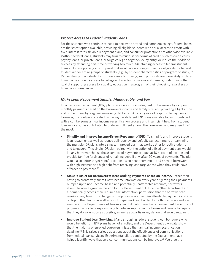#### *Protect Access to Federal Student Loans*

For the students who continue to need to borrow to attend and complete college, federal loans are the safest option available, providing all eligible students with equal access to credit with fixed interest rates, flexible repayment plans, and consumer protections not otherwise available. Without federal loans, students may turn to much riskier forms of credit, such as credit cards, payday loans, or private loans, or forgo college altogether, delay entry, or reduce their odds of success by attending part-time or working too much. Maintaining access to federal student loans includes opposing any proposal that would allow colleges to reduce eligibility for federal student aid for entire groups of students (e.g., by student characteristics or program of study).<sup>30</sup> Rather than protect students from excessive borrowing, such proposals are more likely to deny low-income students access to college or to certain programs and careers, undermining the goal of supporting access to a quality education in a program of their choosing, regardless of financial circumstances.

#### *Make Loan Repayment Simple, Manageable, and Fair*

Income-driven repayment (IDR) plans provide a critical safeguard for borrowers by capping monthly payments based on the borrower's income and family size, and providing a light at the end of the tunnel by forgiving remaining debt after 20 or 25 years of responsible payments. However, the confusion created by having five different IDR plans available today,<sup>31</sup> combined with a cumbersome annual income recertification process and insufficient help from student loan servicers, has contributed to under-enrollment among the borrowers who may need IDR the most.

- **Simplify and Improve Income-Driven Repayment (IDR).** To simplify and improve student loan repayment as well as reduce delinquency and default, we recommend streamlining the multiple IDR plans into a single, improved plan that works better for both students and taxpayers. This single IDR plan, paired with the option of a fixed payment plan, would let any borrower choose the assurance of payments capped at 10 percent of income and provide tax-free forgiveness of remaining debt, if any, after 20 years of payments. The plan would also better target benefits to those who need them most, and prevent borrowers with high incomes and high debt from receiving loan forgiveness when they could have afforded to pay more.<sup>32</sup>
- **Make it Easier for Borrowers to Keep Making Payments Based on Income.** Rather than having to proactively submit new income information every year or getting their payments bumped up to non-income-based and potentially unaffordable amounts, borrowers should be able to give permission for the Department of Education (the Department) to automatically access their required tax information, permission that the borrower can revoke at any time. This change will help borrowers maintain affordable payments and stay on top of their loans, as well as shrink paperwork and burden for both borrowers and loan servicers. The Departments of Treasury and Education reached an agreement to do this but progress has stalled despite strong bipartisan support in the House and Senate to require that they do so as soon as possible, as well as bipartisan legislation that would require it.<sup>33</sup>
- **Improve Student Loan Servicing.** Many struggling federal student loan borrowers who would benefit from IDR plans have not enrolled, and the Department's own data show that the majority of enrolled borrowers missed their annual income recertification deadline.34 This raises serious questions about the effectiveness of communications from federal loan servicers. Experimental pilots conducted by the Department have helped identify ways that servicer communications can be improved.<sup>35</sup> We urge the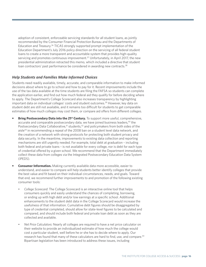adoption of consistent, enforceable servicing standards for all student loans, as jointly recommended by the Consumer Financial Protection Bureau and the Departments of Education and Treasury.36 TICAS strongly supported prompt implementation of the Education Department's July 2016 policy direction on the servicing of all federal student loans to create a more transparent and accountable system that provides high-quality servicing and promotes continuous improvement.<sup>37</sup> Unfortunately, in April 2017, the new presidential administration retracted this memo, which included a directive that student loan contractors' past performance be considered in awarding new contracts.<sup>38</sup>

#### *Help Students and Families Make Informed Choices*

Students need readily available, timely, accurate, and comparable information to make informed decisions about where to go to school and how to pay for it. Recent improvements include the use of the tax data available at the time students are filing the FAFSA so students can complete the application earlier, and find out how much federal aid they qualify for before deciding where to apply. The Department's College Scorecard also increases transparency by highlighting important data on individual colleges' costs and student outcomes.<sup>39</sup> However, key data on student debt are still not available, and it remains too difficult for students to get comparable estimates of how much colleges may cost them, or compare aid offers from different colleges.

- **Bring Postsecondary Data into the 21<sup>st</sup> Century.** To support more useful, comprehensive, accurate and comparable postsecondary data, we have joined business leaders,<sup>40</sup> the Postsecondary Data Collaborative,<sup>41</sup> students,<sup>42</sup> and policymakers from both sides of the aisle<sup>43</sup> in recommending a repeal of the 2008 ban on a student level data network, and the creation of a network with strong protocols for protecting both student privacy and data security. In the meantime, improvements to existing data collection and reporting mechanisms are still urgently needed. For example, total debt at graduation – including both federal and private loans – is not available for every college, nor is debt for each type of credential offered by a given school. We recommend that the Department immediately collect these data from colleges via the Integrated Postsecondary Education Data System (IPEDS).
- **Consumer Information.** Making currently available data more accessible, easier to understand, and easier to compare will help students better identify colleges that provide the best value and fit based on their individual circumstances, needs, and goals. Toward that end, we recommend further improvements to and promotion of the following existing consumer tools:
	- *College Scorecard:* The College Scorecard is an interactive online tool that helps consumers quickly and easily understand the chances of completing, borrowing, or ending up with high debt and/or low earnings at a specific school. Additional enhancements to the student debt data in the College Scorecard would increase the usefulness of that information. Cumulative debt figures should be disaggregated by type of credential completed, should allow for state-level figures to be calculated and compared, and should include both federal and private loan debt as soon as they are collected and available.
	- *Net Price Calculators:* Nearly all colleges are required to have a net price calculator on their website to provide an individualized estimate of how much the college would cost a particular student, well before he or she has to decide where to apply. Our research has found that many of these calculators are hard to find, use, and compare.<sup>44</sup> Bipartisan legislation has been introduced to address these issues, including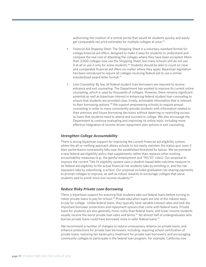authorizing the creation of a central portal that would let students quickly and easily get comparable net price estimates for multiple colleges at once.45

- *• Financial Aid Shopping Sheet*: The Shopping Sheet is a voluntary standard format for college financial aid offers, designed to make it easy for students to understand and compare the real cost of attending the colleges where they have been accepted. More than 3,000 colleges now use the Shopping Sheet, but many schools still do not use it at all or use it only for some students.<sup>46</sup> Students should be able to count on clear and comparable financial aid offers no matter where they apply. Bipartisan legislation has been introduced to require all colleges receiving federal aid to use a similar standardized award letter format.<sup>47</sup>
- Loan Counseling: By law, all federal student loan borrowers are required to receive entrance and exit counseling. The Department has worked to improve its current online counseling, which is used by thousands of colleges. However, there remains significant potential as well as bipartisan interest in enhancing federal student loan counseling to ensure that students are provided clear, timely, actionable information that is relevant to their borrowing options.48 We support empowering schools to require annual counseling in order to more consistently provide students with information related to their previous and future borrowing decisions without deterring or restricting access to loans that students need to attend and succeed in college. We also encourage the Department to continue evaluating and improving its online tools, including more effective integration of income-driven repayment plan options in exit counseling.

#### *Strengthen College Accountability*

There is strong bipartisan support for improving the current financial aid eligibility system, where the all-or-nothing approach allows schools to too easily maintain the status quo, even if their performance consistently falls near the established threshold for failure. We recommend a new federal aid eligibility policy that supplements rather than replaces other existing accountability measures (e.g., the gainful employment and "90/10" rules). Our proposal to improve the current Title IV eligibility system uses a student-based debt outcome measure to tie federal aid eligibility to the actual financial risk students take by enrolling in, and the risk taxpayers take by subsidizing, a school. Our proposal includes graduated risk-sharing payments to prompt colleges to improve, as well as robust rewards to encourage colleges that serve students well to enroll more low-income students.<sup>49</sup>

#### *Reduce Risky Private Loan Borrowing*

There is bipartisan support for ensuring that students take out federal loans before turning to riskier private loans to pay for school.<sup>50</sup> Private education loans are one of the riskiest ways to pay for college. Unlike federal loans, they typically have variable interest rates and lack the important borrower protections and repayment options that come with federal loans. Private loans for students are also generally more costly than federal loans, and lower income students usually receive the worst private loan rates and terms.<sup>51</sup> Yet almost half of undergraduates who borrow private loans could have borrowed more in safer federal loans.<sup>52</sup>

We recommend a number of changes to reduce unnecessary reliance on private loans, and enhance protections for private loan borrowers, including: requiring school certification of private loans; restoring fair bankruptcy treatment for private loan borrowers; and encouraging community colleges to participate in the federal loan program. For example, California now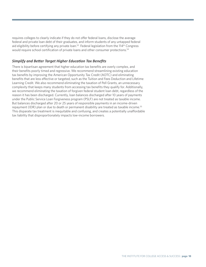requires colleges to clearly indicate if they do not offer federal loans, disclose the average federal and private loan debt of their graduates, and inform students of any untapped federal aid eligibility before certifying any private loan.<sup>53</sup> Federal legislation from the 114<sup>th</sup> Congress would require school certification of private loans and other consumer protections.<sup>54</sup>

#### *Simplify and Better Target Higher Education Tax Benefits*

There is bipartisan agreement that higher education tax benefits are overly complex, and their benefits poorly timed and regressive. We recommend streamlining existing education tax benefits by improving the American Opportunity Tax Credit (AOTC) and eliminating benefits that are less effective or targeted, such as the Tuition and Fees Deduction and Lifetime Learning Credit. We also recommend eliminating the taxation of Pell Grants, an unnecessary complexity that keeps many students from accessing tax benefits they qualify for. Additionally, we recommend eliminating the taxation of forgiven federal student loan debt, regardless of the reason it has been discharged. Currently, loan balances discharged after 10 years of payments under the Public Service Loan Forgiveness program (PSLF) are not treated as taxable income. But balances discharged after 20 or 25 years of responsible payments in an income-driven repayment (IDR) plan or due to death or permanent disability are treated as taxable income.<sup>55</sup> This disparate tax treatment is inequitable and confusing, and creates a potentially unaffordable tax liability that disproportionately impacts low-income borrowers.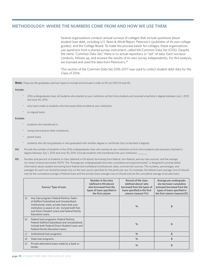## **Methodology: Where the Numbers Come From and How We Use Them**

Several organizations conduct annual surveys of colleges that include questions about student loan debt, including *U.S. News & World Report*, Peterson's (publisher of its own college guides), and the College Board. To make the process easier for colleges, these organizations use questions from a shared survey instrument, called the Common Data Set (CDS). Despite the name "Common Data Set," there is no actual repository or "set" of data. Each surveyor conducts, follows up, and reviews the results of its own survey independently. For this analysis, we licensed and used the data from Peterson's.<sup>56</sup>

This section of the Common Data Set 2016-2017 was used to collect student debt data for the Class of 2016:

**Note:** These are the graduates and loan types to include and exclude in order to fill out CDS H4 and H5.

#### **Include:**

- \* 2016 undergraduate class: all students who started at your institution as first-time students and received a bachelor's degree between July 1, 2015 and June 30, 2016.
- only loans made to students who borrowed while enrolled at your institution.
- co-signed loans.

#### **Exclude:**

- students who transferred in
- money borrowed at other institutions.
- parent loans.
- students who did not graduate or who graduated with another degree or certificate (but no bachelor's degree).
- **H4.** Provide the number of students in the 2016 undergraduate class who started at your institution as first-time students and received a bachelor's degree between July 1, 2015 and June 30, 2016. Exclude students who transferred into your institution.
- **H5.** Number and percent of students in class (defined in H4 above) borrowing from federal, non-federal, and any loan sources, and the average (or mean) amount borrowed. NOTE: The "Average per-undergraduate-borrower cumulative principal borrowed," is designed to provide better information about student borrowing from federal and nonfederal (institutional, state, commercial) sources. The numbers, percentages, and averages for each row should be based only on the loan source specified for the particular row. For example, the federal loans average (row b) should only be the cumulative average of federal loans and the private loans average (row e) should only be the cumulative average of private loans.

|              | Source/ Type of Loan                                                                                                                                                                                                                                                 | Number in the class<br>(defined in H4 above)<br>who borrowed from the<br>types of loans specified in<br>the first column | Percent of the class<br>(defined above) who<br>borrowed from the types of<br>loans specified in the first<br>column (nearest 1%) | Average per-undergradu-<br>ate-borrower cumulative<br>principal borrowed from the<br>types of loans specified in<br>the first column (nearest \$1) |
|--------------|----------------------------------------------------------------------------------------------------------------------------------------------------------------------------------------------------------------------------------------------------------------------|--------------------------------------------------------------------------------------------------------------------------|----------------------------------------------------------------------------------------------------------------------------------|----------------------------------------------------------------------------------------------------------------------------------------------------|
| a)           | Any Ioan program: Federal Perkins, Feder-<br>al Stafford Subsidized and Unsubsidized,<br>institutional, state, private loans that your<br>institution is aware of, etc. Include both Fed-<br>eral Direct Student Loans and Federal Family<br><b>Education Loans.</b> |                                                                                                                          | $\frac{0}{0}$                                                                                                                    |                                                                                                                                                    |
| b)           | Federal Ioan programs: Federal Perkins,<br>Federal Stafford Subsidized and Unsubsidized.<br>Include both Federal Direct Student Loans and<br><b>Federal Family Education Loans.</b>                                                                                  |                                                                                                                          | $\frac{0}{0}$                                                                                                                    |                                                                                                                                                    |
| $\mathsf{c}$ | Institutional loan programs.                                                                                                                                                                                                                                         |                                                                                                                          | $\frac{0}{0}$                                                                                                                    | \$                                                                                                                                                 |
| d)           | State loan programs.                                                                                                                                                                                                                                                 |                                                                                                                          | $\%$                                                                                                                             | \$                                                                                                                                                 |
| e)           | Private alternative loans made by a bank or<br>lender.                                                                                                                                                                                                               |                                                                                                                          | $\frac{0}{0}$                                                                                                                    |                                                                                                                                                    |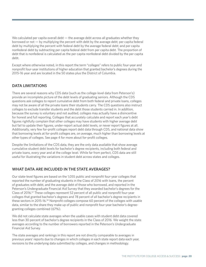We calculated per capita overall debt  $-$  the average debt across all graduates whether they borrowed or not — by multiplying the percent with debt by the average debt; per capita federal debt by multiplying the percent with federal debt by the average federal debt; and per capita nonfederal debt by subtracting per capita federal debt from per capita debt. The proportion of debt that is nonfederal is calculated as the per capita nonfederal debt divided by the per capita debt.

Except where otherwise noted, in this report the term "colleges" refers to public four-year and nonprofit four-year institutions of higher education that granted bachelor's degrees during the 2015-16 year and are located in the 50 states plus the District of Columbia.

# **Data Limitations**

There are several reasons why CDS data (such as the college-level data from Peterson's) provide an incomplete picture of the debt levels of graduating seniors. Although the CDS questions ask colleges to report cumulative debt from both federal and private loans, colleges may not be aware of all the private loans their students carry. The CDS questions also instruct colleges to exclude transfer students and the debt those students carried in. In addition, because the survey is voluntary and not audited, colleges may actually have a disincentive for honest and full reporting. Colleges that accurately calculate and report each year's debt figures rightfully complain that other colleges may have students with higher average debt but fail to update their figures, under-report actual debt levels, or never report figures at all. Additionally, very few for-profit colleges report debt data through CDS, and national data show that borrowing levels at for-profit colleges are, on average, much higher than borrowing levels at other types of colleges. See page 4 for more about for-profit colleges.

Despite the limitations of the CDS data, they are the only data available that show average cumulative student debt levels for bachelor's degree recipients, including both federal and private loans, every year and at the college level. While far from perfect, CDS data are still useful for illustrating the variations in student debt across states and colleges.

#### **What Data are Included in the State Averages?**

Our state-level figures are based on the 1,055 public and nonprofit four-year colleges that reported the number of graduating students in the Class of 2016 with loans, the percent of graduates with debt, and the average debt of those who borrowed, and reported in the Peterson's Undergraduate Financial Aid Survey that they awarded bachelor's degrees for the Class of 2016.57 These colleges represent 52 percent of all public and nonprofit four-year colleges that granted bachelor's degrees and 78 percent of all bachelor's degree recipients in these sectors in 2015-16.58 Nonprofit colleges compose 60 percent of the colleges with usable data, similar to the share they make up of public and nonprofit four-year bachelor's degreegranting colleges combined (67%).

We did not calculate state averages when the usable cases with student debt data covered less than 30 percent of bachelor's degree recipients in the Class of 2016. We weight the state averages according to the number of borrowers reported in the Peterson's Undergraduate Financial Aid Survey.

The state averages and rankings in this report are not directly comparable to averages in previous years' reports due to changes in which colleges in each state report data each year, revisions to the underlying data submitted by colleges, and changes in methodology.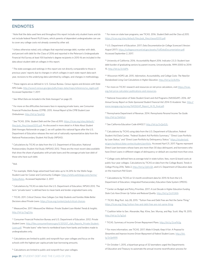## **endnotes**

1 Note that the data used here and throughout this report include only student loans and do not include federal Parent PLUS loans, which parents of dependent undergraduates can use to cover any college costs not already covered by other aid.

<sup>2</sup> Unless otherwise noted, only colleges that reported average debt, number with debt, and percent with debt for the Class of 2016 and reported in the Peterson's Undergraduate Financial Aid Survey at least 100 bachelor's degree recipients in 2015-16 are included in the data about student debt at colleges in this report.

<sup>3</sup> The state averages and rankings in this report are not directly comparable to those in previous years' reports due to changes in which colleges in each state report data each year, revisions to the underlying data submitted by colleges, and changes in methodology.

4 These regions are as defined in: U.S. Census Bureau. *Census regions and divisions with State FIPS Codes*. [http://www2.census.gov/geo/pdfs/maps-data/maps/reference/us\\_regdiv.pdf.](http://www2.census.gov/geo/pdfs/maps-data/maps/reference/us_regdiv.pdf) Accessed September 7, 2017.

5 See *What Data are Included in the State Averages?* on page 20.

6 For more on the difficulties borrowers face in repaying private loans, see Consumer Financial Protection Bureau (CFPB). 2015. *Annual Report of the CFPB Student Loan Ombudsman*. [http://bit.ly/1joybQj.](http://bit.ly/1joybQj)

7 See TICAS. 2016. *Student Debt and the Class of 2015*. [https://ticas.org/sites/default/](https://ticas.org/sites/default/files/pub_files/classof2015.pdf) [files/pub\\_files/classof2015.pdf.](https://ticas.org/sites/default/files/pub_files/classof2015.pdf) As discussed in more detail in *A Note About Student Debt Averages Nationwide* on page 2, we will update this national figure after the U.S. Department of Education releases the next set of nationally representative data from the National Postsecondary Student Aid Study (NPSAS).

8 Calculations by TICAS on data from the U.S. Department of Education, National Postsecondary Student Aid Study (NPSAS) 2012. These are the most recent data available that show the share of graduates with private loans and the average private loan debt of those who have such debt.

#### 9 Ibid.

10 For example, Wells Fargo advertised fixed rates up to 14.24% for the Wells Fargo Student Loan for Career and Community Colleges: [https://wfefs.wellsfargo.com/terms/](https://wfefs.wellsfargo.com/terms/TodaysRates) [TodaysRates](https://wfefs.wellsfargo.com/terms/TodaysRates). Accessed September 2, 2017.

11 Calculations by TICAS on data from the U.S. Department of Education, NPSAS 2012. The term "private loans" is defined here to mean bank and lender-originated loans only.

12 TICAS. 2011. *Critical Choices: How Colleges Can Help Students and Families Make Better Decisions about Private Loans*. [https://ticas.org/content/pub/critical-choices.](https://ticas.org/content/pub/critical-choices)

13 MeasureOne. 2017. *MeasureOne Webinar: Private Student Loan Market Trends & Insights*. [http://bit.ly/2xgZztq.](http://bit.ly/2xgZztq)

14 Consumer Financial Protection Bureau and U.S. Department of Education. 2012. *Private Student Loans*. [http://files.consumerfinance.gov/f/201207\\_cfpb\\_Reports\\_Private-Student-](http://files.consumerfinance.gov/f/201207_cfpb_Reports_Private-Student-Loans.pdf)[Loans.pdf.](http://files.consumerfinance.gov/f/201207_cfpb_Reports_Private-Student-Loans.pdf) "Private loans" refer here to nonfederal loans from banks and lenders made to undergraduates only.

<sup>15</sup> Calculations are limited to public and nonprofit four-year colleges and focus on the schools with the highest per capita private loan borrowing amounts.

<sup>16</sup> Calculations are limited to public and nonprofit four-year colleges.

18 U.S. Department of Education. 2017. *Data Documentation for College Scorecard (Version: August 2017)*. <https://collegescorecard.ed.gov/assets/FullDataDocumentation.pdf>. Accessed September 2, 2017.

19 University of California. 2016. *Accountability Report 2016*. Indicator 2.5.3: Student loan debt burden of graduating seniors by parent income, Universitywide, 1999-2000 to 2014- 15. <http://bit.ly/2vVaPIt>.

20 Wisconsin HOPE Lab. 2015. *Information, Accountability, and College Costs: The Need for Standardized Living Cost Calculations in Higher Education*.<http://bit.ly/2y1kA9u>.

<sup>21</sup> For more on TICAS' research and resources on net price calculators, visit [https://ticas.](https://ticas.org/net-price-calculator-publications-and-resources) [org/net-price-calculator-publications-and-resources](https://ticas.org/net-price-calculator-publications-and-resources).

22 National Association of State Student Grant and Aid Programs (NASSGAP). 2016. *46th Annual Survey Report on State-Sponsored Student Financial Aid: 2014-15 Academic Year*. [http://](http://www.nassgap.org/survey/NASSGAP_Report_14-15_final.pdf) [www.nassgap.org/survey/NASSGAP\\_Report\\_14-15\\_final.pdf](http://www.nassgap.org/survey/NASSGAP_Report_14-15_final.pdf).

23 Pennsylvania Department of Revenue. 2014. *Pennsylvania Personal Income Tax Guide*. [http://bit.ly/2ehbSyt.](http://bit.ly/2ehbSyt)

<sup>24</sup> See California Education Code 69432.7. <http://bit.ly/2vQoG2L>.

<sup>25</sup> Calculations by TICAS using data from the U.S. Department of Education, Federal Student Aid Data Center, "Federal Student Aid Portfolio Summary," "Direct Loan Portfolio by Loan Status," and "Direct Loan Portfolio by Delinquency Status." [https://studentaid.](https://studentaid.ed.gov/sa/about/data-center/student/portfolio) [ed.gov/sa/about/data-center/student/portfolio](https://studentaid.ed.gov/sa/about/data-center/student/portfolio). Accessed April 21, 2017. Figures represent Direct Loan borrowers whose loans are more than 30 days delinquent, and borrowers who have Direct Loans in different stages of delinquency or default are counted more than once.

<sup>26</sup> College costs defined here as average total in-state tuition, fees, room & board costs at public four-year colleges. Calculations by TICAS on data from the College Board, *Trends in College Pricing 2016*, Table 2, <http://bit.ly/2j61cQh>, and U.S. Department of Education data on the maximum Pell Grant.

<sup>27</sup> Calculations by TICAS on 12-month enrollment data for 2015-16 from the U.S. Department of Education, Integrated Postsecondary Education Data System (IPEDS).

28 Center on Budget and Policy Priorities. 2017. *A Lost Decade in Higher Education Funding*  State Cuts Have Driven Up Tuition and Reduced Quality.<http://bit.ly/2vXYJAN>.

<sup>29</sup> TICAS. Blog Post. July 28, 2015. "Tuition Free and Debt Free are Not the Same Thing." <https://ticas.org/blog/tuition-free-and-debt-free-are-not-same-thing>.

<sup>30</sup> Coalition letter to Sen. Alexander, Rep. Kline, Sen. Murray, and Rep. Scott. May 19, 2015. <http://bit.ly/2y7g2yd>.

31 TICAS. Summary of Income-Driven Repayment Plans. [http://bit.ly/2cwFk0g.](http://bit.ly/2cwFk0g)

32 For more information, see TICAS. 2017. *Make It Simple, Keep It Fair: A Proposal to*  Streamline and Improve Income-Driven Repayment of Federal Student Loans. [http://bit.](http://bit.ly/2x3jeMW) [ly/2x3jeMW](http://bit.ly/2x3jeMW).

33 On October 1, 2015, a bipartisan group of 32 lawmakers urged the Departments of Education and Treasury to automate the annual income recertification process for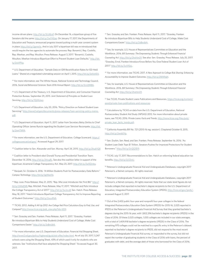income-driven plans: [http://bit.ly/2cU8zsF.](http://bit.ly/2cU8zsF) On December 16, a bipartisan group of five Senators did the same: <http://bit.ly/2wYN5ae>. On January 17, 2017, the Departments of Education and Treasury announced progress toward putting a multi-year consent system in place: [http://bit.ly/2gmni1o.](http://bit.ly/2gmni1o) And in July 2017 a bipartisan bill was re-introduced that would require the two agencies to automate the process: Rep. Bonamici, Rep. Costello, Rep. Meehan, and Rep. Moulton. Press Release. August 3, 2017. "Bonamici, Costello, Moulton, Meehan Introduce Bipartisan Effort to Prevent Student Loan Defaults." [http://bit.](http://bit.ly/2wVPfrp) [ly/2wVPfrp.](http://bit.ly/2wVPfrp)

34 U.S. Department of Education. "Sample Data on IDR Recertification Rates for ED-Held Loans." Shared at a negotiated rulemaking session on April 1, 2015.<http://bit.ly/2eXvKE0>.

<sup>35</sup> For more information, see The White House, National Science and Technology Council. 2016. *Social and Behavioral Sciences Team 2016 Annual Report*. [http://bit.ly/2cU2M86.](http://bit.ly/2cU2M86)

<sup>36</sup> U.S. Department of the Treasury, U.S. Department of Education, and Consumer Financial Protection Bureau. September 29, 2015. *Joint Statement of Principles on Student Loan*  Servicing. [http://bit.ly/1QJXUwz.](http://bit.ly/1QJXUwz)

<sup>37</sup> U.S. Department of Education. July 20, 2016. "Policy Direction on Federal Student Loan Servicing." [http://www2.ed.gov/documents/press-releases/loan-servicing-policy-memo.](http://www2.ed.gov/documents/press-releases/loan-servicing-policy-memo.pdf) [pdf.](http://www2.ed.gov/documents/press-releases/loan-servicing-policy-memo.pdf)

38 U.S. Department of Education. April 11, 2017. Letter from Secretary Betsy DeVos to Chief Operating Officer James Runcie regarding the Student Loan Servicer Recompete. [http://bit.](http://bit.ly/2omTMfA) [ly/2omTMfA.](http://bit.ly/2omTMfA)

<sup>39</sup> For more information, see the U.S. Department of Education. College Scorecard. [https://](https://collegescorecard.ed.gov/) [collegescorecard.ed.gov](https://collegescorecard.ed.gov/)/. Accessed August 29, 2017.

40 Coalition letter to Sen. Alexander and Sen. Murray. April 24, 2015. <http://bit.ly/2hubYQF>.

41 Coalition letter to President-elect Donald Trump and Presidential Transition Team. December 14, 2016. <http://bit.ly/2hlvqRL>. See also the coalition letter in support of the bipartisan, bicameral College Transparency Act. May 23, 2017. <http://bit.ly/2wSQmby>.

42 Ravipati, Sri. October 6, 2016. "A Million Students Push for Postsecondary Data Reform." Campus Technology. [http://bit.ly/2gWez5b.](http://bit.ly/2gWez5b)

43 Rep. Love. Press Release. May 21, 2015. "Rep. Mia Love Introduces Her First Bill." [http://](http://bit.ly/2iMeENR) [bit.ly/2iMeENR](http://bit.ly/2iMeENR); Rep. Mitchell. Press Release. May 17, 2017. "Mitchell and Polis Introduce the College Transparency Act of 2017."<http://bit.ly/2wJsruB>; Sen. Hatch. Press Release. May 18, 2017. "Hatch Introduces Bipartisan College Transparency Act to Improve Reporting of Student Outcomes." <http://bit.ly/2vru4NA>.

44 TICAS. 2012. *Adding It All Up 2012: Are College Net Price Calculators Easy to Find, Use, and Compare?* [http://www.ticas.org/pub\\_view.php?idx=859](http://www.ticas.org/pub_view.php%3Fidx%3D859).

45 Sen. Grassley and Sen. Franken. Press Release. April 11, 2017. "Grassley, Franken Re-introduce Bipartisan Bills to Help Students Understand Cost of College, Make Cost Comparisons Easier." <http://bit.ly/2xBmJbA>.

46 For more information, see U.S. Department of Education. Financial Aid Shopping Sheet. [http://www2.ed.gov/policy/highered/guid/aid-offer/index.html.](http://www2.ed.gov/policy/highered/guid/aid-offer/index.html) As of July 20, 2017, 3,247 schools were using the Shopping Sheet, 43% of which used it only for students who are veterans. See "Institutions that have adopted the Shopping Sheet." Accessed August 30, 2017.

47 Sen. Grassley and Sen. Franken. Press Release. April 11, 2017. "Grassley, Franken Re-introduce Bipartisan Bills to Help Students Understand Cost of College, Make Cost Comparisons Easier." [http://bit.ly/2xBmJbA.](http://bit.ly/2xBmJbA)

48 See, for example, U.S. House of Representatives Committee on Education and the Workforce. 2016. *Bill Summary: The Empowering Students Through Enhanced Financial Counseling Act*.<http://bit.ly/2hxHm3Y>. See also: Sen. Grassley. Press Release. July 25, 2017. "Grassley, Ernst, Franken Introduce Know Before You Owe Federal Student Loan Act of 2017."<http://bit.ly/2vJVGsL>.

49 For more information, see TICAS. 2017. *A New Approach to College Risk Sharing: Enhancing Accountability to Improve Student Outcomes*. <http://bit.ly/2fkN9qN>.

50 See, for example, U.S. House of Representatives Committee on Education and the Workforce. 2016. *Bill Summary: The Empowering Students Through Enhanced Financial Counseling Act*.<http://bit.ly/2hxHm3Y>.

51 See TICAS. Private Student Loans Publications and Resources. [https://ticas.org/content/](https://ticas.org/content/posd/private-loan-publications-and-resources) [posd/private-loan-publications-and-resources.](https://ticas.org/content/posd/private-loan-publications-and-resources)

<sup>52</sup> Calculations by TICAS on data from the U.S. Department of Education, National Postsecondary Student Aid Study (NPSAS) 2012. For more information about private loans, see TICAS. 2016. *Private Loans: Facts and Trends*. [http://www.ticas.org/files/pub/](http://www.ticas.org/files/pub/private_loan_facts_trends.pdf) [private\\_loan\\_facts\\_trends.pdf.](http://www.ticas.org/files/pub/private_loan_facts_trends.pdf)

53 California Assembly Bill No. 721 (2015-16 reg. session). Chaptered October 8, 2015. [http://bit.ly/2wr60Yq.](http://bit.ly/2wr60Yq)

54 Sen. Durbin, Sen. Reed, and Sen. Franken. Press Release. September 16, 2016. "As Student Loan Debt Tops \$1 Trillion, Senators Pushes For Improved Protections For Student Borrowers." [http://bit.ly/2cQQ3D9.](http://bit.ly/2cQQ3D9)

<sup>55</sup> TICAS. July 17, 2017. Recommendations to Sen. Hatch on reforming federal education tax benefits. [http://bit.ly/2y12inU.](http://bit.ly/2y12inU)

56 Peterson's Undergraduate Financial Aid and Undergraduate Databases, copyright 2017 Peterson's, a Nelnet company. All rights reserved.

57 Peterson's Undergraduate Financial Aid and Undergraduate Databases, copyright 2017 Peterson's, a Nelnet company. All rights reserved. Note that our state-level figures do not include colleges that reported no bachelor's degree recipients to the U.S. Department of Education, Integrated Postsecondary Education System (IPEDS), [http://nces.ed.gov/ipeds/,](http://nces.ed.gov/ipeds/) accessed August 3, 2017.

<sup>58</sup> Out of the 2,402 public four-year and nonprofit four-year colleges in the federal Integrated Postsecondary Education Data System (IPEDS) for 2015-16, 2,025 reported in IPEDS or the Peterson's Undergraduate Financial Aid Survey that they granted bachelor's degrees during the 2015-16 year, with 1,802,396 bachelor's degree recipients (IPEDS) in the Class of 2016. Of these 2,025 colleges, 1,055 colleges are included in our state averages, with a total of 1,409,918 bachelor's degree recipients (IPEDS) in the Class of 2016. The remaining 970 colleges could not be matched to a specific entry in the Peterson's dataset, reported no bachelor's degree recipients to IPEDS, did not respond to the most recent Peterson's Undergraduate Financial Aid survey, or responded to the survey, but did not report the number of graduating students in the Class of 2016 with loans, the percent of graduates with debt, and the average debt of those who borrowed for the Class of 2016.